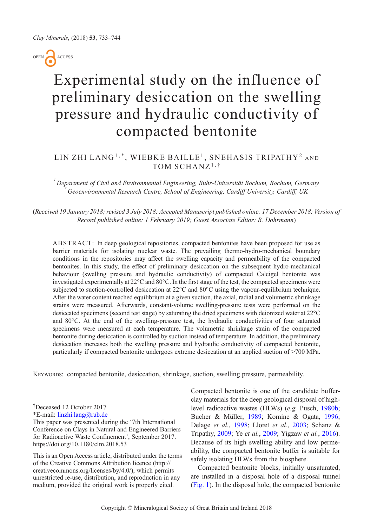OPEN ACCESS

# Experimental study on the influence of preliminary desiccation on the swelling pressure and hydraulic conductivity of compacted bentonite

## LIN ZHI LANG<sup>1,\*</sup>, WIEBKE BAILLE<sup>1</sup>, SNEHASIS TRIPATHY<sup>2</sup> AND TOM SCHANZ<sup>1,†</sup>

 $^{'}$ Department of Civil and Environmental Engineering, Ruhr-Universität Bochum, Bochum, Germany 2 Geoenvironmental Research Centre, School of Engineering, Cardiff University, Cardiff, UK

(Received 19 January 2018; revised 3 July 2018; Accepted Manuscript published online: 17 December 2018; Version of Record published online: 1 February 2019; Guest Associate Editor: R. Dohrmann)

ABSTRACT: In deep geological repositories, compacted bentonites have been proposed for use as barrier materials for isolating nuclear waste. The prevailing thermo-hydro-mechanical boundary conditions in the repositories may affect the swelling capacity and permeability of the compacted bentonites. In this study, the effect of preliminary desiccation on the subsequent hydro-mechanical behaviour (swelling pressure and hydraulic conductivity) of compacted Calcigel bentonite was investigated experimentally at 22°C and 80°C. In the first stage of the test, the compacted specimens were subjected to suction-controlled desiccation at 22°C and 80°C using the vapour-equilibrium technique. After the water content reached equilibrium at a given suction, the axial, radial and volumetric shrinkage strains were measured. Afterwards, constant-volume swelling-pressure tests were performed on the desiccated specimens (second test stage) by saturating the dried specimens with deionized water at 22°C and 80°C. At the end of the swelling-pressure test, the hydraulic conductivities of four saturated specimens were measured at each temperature. The volumetric shrinkage strain of the compacted bentonite during desiccation is controlled by suction instead of temperature. In addition, the preliminary desiccation increases both the swelling pressure and hydraulic conductivity of compacted bentonite, particularly if compacted bentonite undergoes extreme desiccation at an applied suction of >700 MPa.

KEYWORDS: compacted bentonite, desiccation, shrinkage, suction, swelling pressure, permeability.

\*E-mail: [linzhi.lang@rub.de](mailto:linzhi.lang@rub.de)

This paper was presented during the '7th International Conference on Clays in Natural and Engineered Barriers for Radioactive Waste Confinement', September 2017. https://doi.org/10.1180/clm.2018.53

This is an Open Access article, distributed under the terms of the Creative Commons Attribution licence (http:// creativecommons.org/licenses/by/4.0/), which permits unrestricted re-use, distribution, and reproduction in any medium, provided the original work is properly cited.

Compacted bentonite is one of the candidate bufferclay materials for the deep geological disposal of highlevel radioactive wastes (HLWs) (e.g. Pusch, [1980b;](#page-10-0) Bucher & Müller, [1989](#page-10-0); Komine & Ogata, [1996;](#page-10-0) Delage et al., [1998;](#page-10-0) Lloret et al., [2003;](#page-10-0) Schanz & Tripathy, [2009;](#page-11-0) Ye et al., [2009;](#page-11-0) Yigzaw et al., [2016](#page-11-0)). Because of its high swelling ability and low permeability, the compacted bentonite buffer is suitable for safely isolating HLWs from the biosphere.

Compacted bentonite blocks, initially unsaturated, are installed in a disposal hole of a disposal tunnel ([Fig. 1](#page-1-0)). In the disposal hole, the compacted bentonite

<sup>†</sup> Deceased 12 October 2017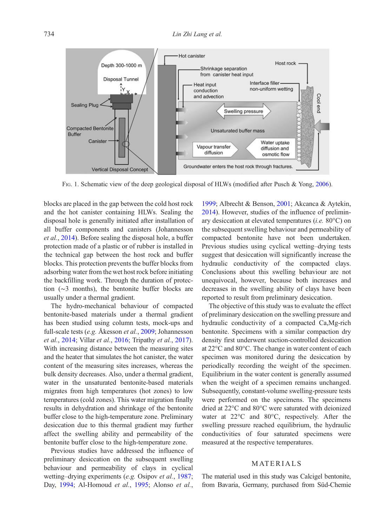<span id="page-1-0"></span>

FIG. 1. Schematic view of the deep geological disposal of HLWs (modified after Pusch & Yong, [2006\)](#page-10-0).

blocks are placed in the gap between the cold host rock and the hot canister containing HLWs. Sealing the disposal hole is generally initiated after installation of all buffer components and canisters (Johannesson et al., [2014\)](#page-10-0). Before sealing the disposal hole, a buffer protection made of a plastic or of rubber is installed in the technical gap between the host rock and buffer blocks. This protection prevents the buffer blocks from adsorbing water from the wet host rock before initiating the backfilling work. Through the duration of protection (∼3 months), the bentonite buffer blocks are usually under a thermal gradient.

The hydro-mechanical behaviour of compacted bentonite-based materials under a thermal gradient has been studied using column tests, mock-ups and full-scale tests (e.g. Åkesson et al., [2009;](#page-10-0) Johannesson et al., [2014;](#page-10-0) Villar et al., [2016;](#page-11-0) Tripathy et al., [2017](#page-11-0)). With increasing distance between the measuring sites and the heater that simulates the hot canister, the water content of the measuring sites increases, whereas the bulk density decreases. Also, under a thermal gradient, water in the unsaturated bentonite-based materials migrates from high temperatures (hot zones) to low temperatures (cold zones). This water migration finally results in dehydration and shrinkage of the bentonite buffer close to the high-temperature zone. Preliminary desiccation due to this thermal gradient may further affect the swelling ability and permeability of the bentonite buffer close to the high-temperature zone.

Previous studies have addressed the influence of preliminary desiccation on the subsequent swelling behaviour and permeability of clays in cyclical wetting–drying experiments (e.g. Osipov et al., [1987](#page-10-0); Day, [1994;](#page-10-0) Al-Homoud et al., [1995;](#page-10-0) Alonso et al.,

[1999;](#page-10-0) Albrecht & Benson, [2001;](#page-10-0) Akcanca & Aytekin, [2014\)](#page-10-0). However, studies of the influence of preliminary desiccation at elevated temperatures (i.e. 80°C) on the subsequent swelling behaviour and permeability of compacted bentonite have not been undertaken. Previous studies using cyclical wetting–drying tests suggest that desiccation will significantly increase the hydraulic conductivity of the compacted clays. Conclusions about this swelling behaviour are not unequivocal, however, because both increases and decreases in the swelling ability of clays have been reported to result from preliminary desiccation.

The objective of this study was to evaluate the effect of preliminary desiccation on the swelling pressure and hydraulic conductivity of a compacted Ca,Mg-rich bentonite. Specimens with a similar compaction dry density first underwent suction-controlled desiccation at 22°C and 80°C. The change in water content of each specimen was monitored during the desiccation by periodically recording the weight of the specimen. Equilibrium in the water content is generally assumed when the weight of a specimen remains unchanged. Subsequently, constant-volume swelling-pressure tests were performed on the specimens. The specimens dried at 22°C and 80°C were saturated with deionized water at 22°C and 80°C, respectively. After the swelling pressure reached equilibrium, the hydraulic conductivities of four saturated specimens were measured at the respective temperatures.

## **MATERIALS**

The material used in this study was Calcigel bentonite, from Bavaria, Germany, purchased from Süd-Chemie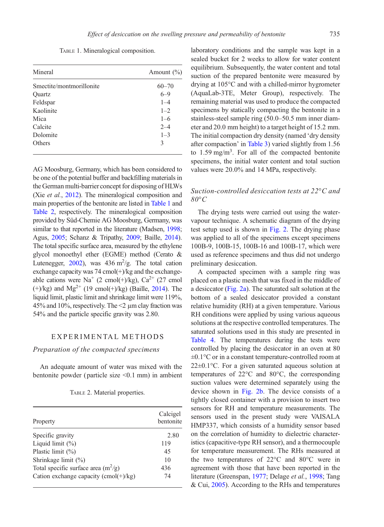TABLE 1. Mineralogical composition.

| Mineral                  | Amount $(\% )$ |  |  |
|--------------------------|----------------|--|--|
| Smectite/montmorillonite | $60 - 70$      |  |  |
| Quartz                   | $6 - 9$        |  |  |
| Feldspar                 | $1 - 4$        |  |  |
| Kaolinite                | $1 - 2$        |  |  |
| Mica                     | $1 - 6$        |  |  |
| Calcite                  | $2 - 4$        |  |  |
| Dolomite                 | $1 - 3$        |  |  |
| Others                   | 3              |  |  |

AG Moosburg, Germany, which has been considered to be one of the potential buffer and backfilling materials in the German multi-barrier concept for disposing of HLWs (Xie et al., [2012\)](#page-11-0). The mineralogical composition and main properties of the bentonite are listed in Table 1 and Table 2, respectively. The mineralogical composition provided by Süd-Chemie AG Moosburg, Germany, was similar to that reported in the literature (Madsen, [1998;](#page-10-0) Agus, [2005](#page-10-0); Schanz & Tripathy, [2009;](#page-11-0) Baille, [2014](#page-10-0)). The total specific surface area, measured by the ethylene glycol monoethyl ether (EGME) method (Cerato & Lutenegger, [2002\)](#page-10-0), was  $436 \text{ m}^2/\text{g}$ . The total cation exchange capacity was  $74 \text{ cmol}(+)$ /kg and the exchangeable cations were Na<sup>+</sup> (2 cmol(+)/kg),  $Ca^{2+}$  (27 cmol  $(+)/kg$ ) and Mg<sup>2+</sup> (19 cmol(+)/kg) (Baille, [2014\)](#page-10-0). The liquid limit, plastic limit and shrinkage limit were 119%, 45% and 10%, respectively. The <2 µm clay fraction was 54% and the particle specific gravity was 2.80.

#### EXPERIMENTAL METHODS

#### Preparation of the compacted specimens

An adequate amount of water was mixed with the bentonite powder ( particle size <0.1 mm) in ambient

TABLE 2. Material properties.

| Property                                | Calcigel<br>bentonite |  |  |
|-----------------------------------------|-----------------------|--|--|
| Specific gravity                        | 2.80                  |  |  |
| Liquid limit $(\%)$                     | 119                   |  |  |
| Plastic limit $(\%)$                    | 45                    |  |  |
| Shrinkage limit $(\%)$                  | 10                    |  |  |
| Total specific surface area $(m^2/g)$   | 436                   |  |  |
| Cation exchange capacity $(cmol(+)/kg)$ | 74                    |  |  |

laboratory conditions and the sample was kept in a sealed bucket for 2 weeks to allow for water content equilibrium. Subsequently, the water content and total suction of the prepared bentonite were measured by drying at 105°C and with a chilled-mirror hygrometer (AquaLab-3TE, Meter Group), respectively. The remaining material was used to produce the compacted specimens by statically compacting the bentonite in a stainless-steel sample ring (50.0–50.5 mm inner diameter and 20.0 mm height) to a target height of 15.2 mm. The initial compaction dry density (named 'dry density after compaction' in Table 3) varied slightly from 1.56 to  $1.59 \text{ mg/m}^3$ . For all of the compacted bentonite specimens, the initial water content and total suction values were 20.0% and 14 MPa, respectively.

## Suction-controlled desiccation tests at 22°C and  $80^{\circ}C$

The drying tests were carried out using the watervapour technique. A schematic diagram of the drying test setup used is shown in [Fig. 2](#page-4-0). The drying phase was applied to all of the specimens except specimens 100B-9, 100B-15, 100B-16 and 100B-17, which were used as reference specimens and thus did not undergo preliminary desiccation.

A compacted specimen with a sample ring was placed on a plastic mesh that was fixed in the middle of a desiccator [\(Fig. 2a](#page-4-0)). The saturated salt solution at the bottom of a sealed desiccator provided a constant relative humidity (RH) at a given temperature. Various RH conditions were applied by using various aqueous solutions at the respective controlled temperatures. The saturated solutions used in this study are presented in Table 4. The temperatures during the tests were controlled by placing the desiccator in an oven at 80 ±0.1°C or in a constant temperature-controlled room at 22±0.1°C. For a given saturated aqueous solution at temperatures of 22°C and 80°C, the corresponding suction values were determined separately using the device shown in [Fig. 2b.](#page-4-0) The device consists of a tightly closed container with a provision to insert two sensors for RH and temperature measurements. The sensors used in the present study were VAISALA HMP337, which consists of a humidity sensor based on the correlation of humidity to dielectric characteristics (capacitive-type RH sensor), and a thermocouple for temperature measurement. The RHs measured at the two temperatures of 22°C and 80°C were in agreement with those that have been reported in the literature (Greenspan, [1977;](#page-10-0) Delage et al., [1998;](#page-10-0) Tang & Cui, [2005](#page-11-0)). According to the RHs and temperatures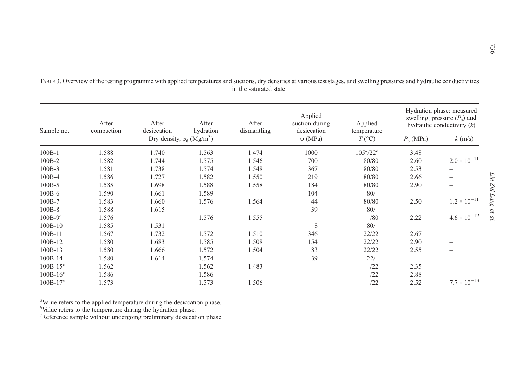| Sample no. | After<br>compaction | After<br>desiccation                       | After<br>hydration | After<br>dismantling | Applied<br>suction during<br>desiccation | Applied                         | Hydration phase: measured<br>swelling, pressure $(P_s)$ and<br>hydraulic conductivity $(k)$ |                          |
|------------|---------------------|--------------------------------------------|--------------------|----------------------|------------------------------------------|---------------------------------|---------------------------------------------------------------------------------------------|--------------------------|
|            |                     | Dry density, $\rho_d$ (Mg/m <sup>3</sup> ) |                    |                      | $\psi$ (MPa)                             | temperature<br>$T({}^{\circ}C)$ | $P_{\rm s}$ (MPa)                                                                           | $k \text{ (m/s)}$        |
| $100B-1$   | 1.588               | 1.740                                      | 1.563              | 1.474                | 1000                                     | $105^a/22^b$                    | 3.48                                                                                        | $\overline{\phantom{0}}$ |
| 100B-2     | 1.582               | 1.744                                      | 1.575              | 1.546                | 700                                      | 80/80                           | 2.60                                                                                        | $2.0 \times 10^{-11}$    |
| $100B-3$   | 1.581               | 1.738                                      | 1.574              | 1.548                | 367                                      | 80/80                           | 2.53                                                                                        | $\overline{\phantom{0}}$ |
| $100B-4$   | 1.586               | 1.727                                      | 1.582              | 1.550                | 219                                      | 80/80                           | 2.66                                                                                        |                          |
| $100B-5$   | 1.585               | 1.698                                      | 1.588              | 1.558                | 184                                      | 80/80                           | 2.90                                                                                        |                          |
| $100B-6$   | 1.590               | 1.661                                      | 1.589              | -                    | 104                                      | $80/-$                          | $\overline{\phantom{0}}$                                                                    | -                        |
| 100B-7     | 1.583               | 1.660                                      | 1.576              | 1.564                | 44                                       | 80/80                           | 2.50                                                                                        | $1.2 \times 10^{-11}$    |
| $100B-8$   | 1.588               | 1.615                                      |                    |                      | 39                                       | $80/-$                          |                                                                                             |                          |
| $100B-9c$  | 1.576               |                                            | 1.576              | 1.555                |                                          | $-$ /80                         | 2.22                                                                                        | $4.6 \times 10^{-12}$    |
| 100B-10    | 1.585               | 1.531                                      |                    |                      | 8                                        | $80/-$                          |                                                                                             |                          |
| 100B-11    | 1.567               | 1.732                                      | 1.572              | 1.510                | 346                                      | 22/22                           | 2.67                                                                                        | -                        |
| 100B-12    | 1.580               | 1.683                                      | 1.585              | 1.508                | 154                                      | 22/22                           | 2.90                                                                                        | $\overline{\phantom{0}}$ |
| $100B-13$  | 1.580               | 1.666                                      | 1.572              | 1.504                | 83                                       | 22/22                           | 2.55                                                                                        |                          |
| 100B-14    | 1.580               | 1.614                                      | 1.574              |                      | 39                                       | $22/-$                          | $\overline{\phantom{0}}$                                                                    |                          |
| $100B-15c$ | 1.562               |                                            | 1.562              | 1.483                |                                          | $-22$                           | 2.35                                                                                        |                          |
| $100B-16c$ | 1.586               | -                                          | 1.586              |                      |                                          | $-22$                           | 2.88                                                                                        |                          |
| $100B-17c$ | 1.573               |                                            | 1.573              | 1.506                |                                          | $-22$                           | 2.52                                                                                        | $7.7 \times 10^{-13}$    |

TABLE 3. Overview of the testing programme with applied temperatures and suctions, dry densities at various test stages, and swelling pressures and hydraulic conductivities in the saturated state.

<sup>a</sup>Value refers to the applied temperature during the desiccation phase.

 $b$ Value refers to the temperature during the hydration phase.

<sup>c</sup>Reference sample without undergoing preliminary desiccation phase.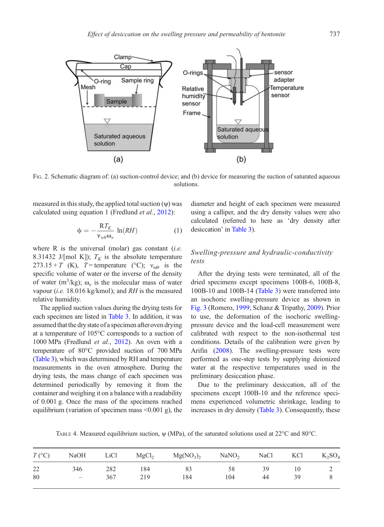<span id="page-4-0"></span>

FIG. 2. Schematic diagram of: (a) suction-control device; and (b) device for measuring the suction of saturated aqueous solutions.

measured in this study, the applied total suction (ψ) was calculated using equation 1 (Fredlund et al., [2012](#page-10-0)):

$$
\psi = -\frac{RT_K}{\nu_{w0}\omega_v} \ln(RH) \tag{1}
$$

where  $R$  is the universal (molar) gas constant (i.e. 8.31432 J/[mol K]);  $T_K$  is the absolute temperature  $273.15 + T$  (K), T = temperature (°C);  $v_{\text{eq}}$  is the specific volume of water or the inverse of the density of water (m<sup>3</sup>/kg);  $\omega_v$  is the molecular mass of water vapour (*i.e.* 18.016 kg/kmol); and  $RH$  is the measured relative humidity.

The applied suction values during the drying tests for each specimen are listed in Table 3. In addition, it was assumed that the dry state of a specimen after oven drying at a temperature of 105°C corresponds to a suction of 1000 MPa (Fredlund et al., [2012\)](#page-10-0). An oven with a temperature of 80°C provided suction of 700 MPa (Table 3), which was determined by RH and temperature measurements in the oven atmosphere. During the drying tests, the mass change of each specimen was determined periodically by removing it from the container and weighing it on a balance with a readability of 0.001 g. Once the mass of the specimens reached equilibrium (variation of specimen mass <0.001 g), the diameter and height of each specimen were measured using a calliper, and the dry density values were also calculated (referred to here as 'dry density after desiccation' in Table 3).

## Swelling-pressure and hydraulic-conductivity tests

After the drying tests were terminated, all of the dried specimens except specimens 100B-6, 100B-8, 100B-10 and 100B-14 (Table 3) were transferred into an isochoric swelling-pressure device as shown in [Fig. 3](#page-5-0) (Romero, [1999](#page-10-0); Schanz & Tripathy, [2009\)](#page-11-0). Prior to use, the deformation of the isochoric swellingpressure device and the load-cell measurement were calibrated with respect to the non-isothermal test conditions. Details of the calibration were given by Arifin [\(2008\)](#page-10-0). The swelling-pressure tests were performed as one-step tests by supplying deionized water at the respective temperatures used in the preliminary desiccation phase.

Due to the preliminary desiccation, all of the specimens except 100B-10 and the reference specimens experienced volumetric shrinkage, leading to increases in dry density (Table 3). Consequently, these

TABLE 4. Measured equilibrium suction, ψ (MPa), of the saturated solutions used at 22°C and 80°C.

|    |                                                               |     |     | $T({}^{\circ}C)$ NaOH LiCl MgCl <sub>2</sub> Mg(NO <sub>3</sub> ) <sub>2</sub> NaNO <sub>2</sub> NaCl KCl K <sub>2</sub> SO <sub>4</sub> |     |    |      |  |
|----|---------------------------------------------------------------|-----|-----|------------------------------------------------------------------------------------------------------------------------------------------|-----|----|------|--|
| 22 | 346                                                           | 282 | 184 | 83                                                                                                                                       | 58  | 39 | - 10 |  |
| 80 | $\mathcal{L}^{\mathcal{L}}$ and $\mathcal{L}^{\mathcal{L}}$ . | 367 | 219 | 184                                                                                                                                      | 104 | 44 | 39   |  |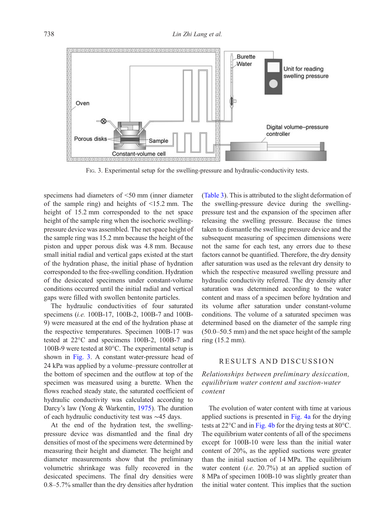<span id="page-5-0"></span>

FIG. 3. Experimental setup for the swelling-pressure and hydraulic-conductivity tests.

specimens had diameters of <50 mm (inner diameter of the sample ring) and heights of <15.2 mm. The height of 15.2 mm corresponded to the net space height of the sample ring when the isochoric swellingpressure device was assembled. The net space height of the sample ring was 15.2 mm because the height of the piston and upper porous disk was 4.8 mm. Because small initial radial and vertical gaps existed at the start of the hydration phase, the initial phase of hydration corresponded to the free-swelling condition. Hydration of the desiccated specimens under constant-volume conditions occurred until the initial radial and vertical gaps were filled with swollen bentonite particles.

The hydraulic conductivities of four saturated specimens (i.e. 100B-17, 100B-2, 100B-7 and 100B-9) were measured at the end of the hydration phase at the respective temperatures. Specimen 100B-17 was tested at 22°C and specimens 100B-2, 100B-7 and 100B-9 were tested at 80°C. The experimental setup is shown in Fig. 3. A constant water-pressure head of 24 kPa was applied by a volume–pressure controller at the bottom of specimen and the outflow at top of the specimen was measured using a burette. When the flows reached steady state, the saturated coefficient of hydraulic conductivity was calculated according to Darcy's law (Yong & Warkentin, [1975\)](#page-11-0). The duration of each hydraulic conductivity test was ∼45 days.

At the end of the hydration test, the swellingpressure device was dismantled and the final dry densities of most of the specimens were determined by measuring their height and diameter. The height and diameter measurements show that the preliminary volumetric shrinkage was fully recovered in the desiccated specimens. The final dry densities were 0.8–5.7% smaller than the dry densities after hydration

(Table 3). This is attributed to the slight deformation of the swelling-pressure device during the swellingpressure test and the expansion of the specimen after releasing the swelling pressure. Because the times taken to dismantle the swelling pressure device and the subsequent measuring of specimen dimensions were not the same for each test, any errors due to these factors cannot be quantified. Therefore, the dry density after saturation was used as the relevant dry density to which the respective measured swelling pressure and hydraulic conductivity referred. The dry density after saturation was determined according to the water content and mass of a specimen before hydration and its volume after saturation under constant-volume conditions. The volume of a saturated specimen was determined based on the diameter of the sample ring (50.0–50.5 mm) and the net space height of the sample ring (15.2 mm).

## RESULTS AND DISCUSSION

Relationships between preliminary desiccation, equilibrium water content and suction-water content

The evolution of water content with time at various applied suctions is presented in [Fig. 4a](#page-6-0) for the drying tests at  $22^{\circ}$ C and in [Fig. 4b](#page-6-0) for the drying tests at  $80^{\circ}$ C. The equilibrium water contents of all of the specimens except for 100B-10 were less than the initial water content of 20%, as the applied suctions were greater than the initial suction of 14 MPa. The equilibrium water content (*i.e.* 20.7%) at an applied suction of 8 MPa of specimen 100B-10 was slightly greater than the initial water content. This implies that the suction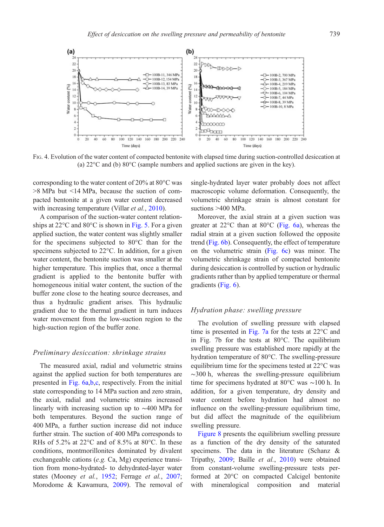<span id="page-6-0"></span>

FIG. 4. Evolution of the water content of compacted bentonite with elapsed time during suction-controlled desiccation at (a) 22°C and (b) 80°C (sample numbers and applied suctions are given in the key).

corresponding to the water content of 20% at 80°C was >8 MPa but <14 MPa, because the suction of compacted bentonite at a given water content decreased with increasing temperature (Villar et al., [2010\)](#page-11-0).

A comparison of the suction-water content relationships at  $22^{\circ}$ C and  $80^{\circ}$ C is shown in [Fig. 5.](#page-7-0) For a given applied suction, the water content was slightly smaller for the specimens subjected to 80°C than for the specimens subjected to 22°C. In addition, for a given water content, the bentonite suction was smaller at the higher temperature. This implies that, once a thermal gradient is applied to the bentonite buffer with homogeneous initial water content, the suction of the buffer zone close to the heating source decreases, and thus a hydraulic gradient arises. This hydraulic gradient due to the thermal gradient in turn induces water movement from the low-suction region to the high-suction region of the buffer zone.

#### Preliminary desiccation: shrinkage strains

The measured axial, radial and volumetric strains against the applied suction for both temperatures are presented in [Fig. 6a](#page-7-0),[b,c](#page-7-0), respectively. From the initial state corresponding to 14 MPa suction and zero strain, the axial, radial and volumetric strains increased linearly with increasing suction up to ∼400 MPa for both temperatures. Beyond the suction range of 400 MPa, a further suction increase did not induce further strain. The suction of 400 MPa corresponds to RHs of 5.2% at 22°C and of 8.5% at 80°C. In these conditions, montmorillonites dominated by divalent exchangeable cations (e.g. Ca, Mg) experience transition from mono-hydrated- to dehydrated-layer water states (Mooney et al., [1952;](#page-10-0) Ferrage et al., [2007;](#page-10-0) Morodome & Kawamura, [2009\)](#page-10-0). The removal of single-hydrated layer water probably does not affect macroscopic volume deformation. Consequently, the volumetric shrinkage strain is almost constant for suctions >400 MPa.

Moreover, the axial strain at a given suction was greater at 22°C than at 80°C ([Fig. 6a](#page-7-0)), whereas the radial strain at a given suction followed the opposite trend [\(Fig. 6b](#page-7-0)). Consequently, the effect of temperature on the volumetric strain [\(Fig. 6c](#page-7-0)) was minor. The volumetric shrinkage strain of compacted bentonite during desiccation is controlled by suction or hydraulic gradients rather than by applied temperature or thermal gradients [\(Fig. 6\)](#page-7-0).

### Hydration phase: swelling pressure

The evolution of swelling pressure with elapsed time is presented in [Fig. 7a](#page-8-0) for the tests at 22°C and in Fig. 7b for the tests at 80°C. The equilibrium swelling pressure was established more rapidly at the hydration temperature of 80°C. The swelling-pressure equilibrium time for the specimens tested at 22°C was  $~\sim$ 300 h, whereas the swelling-pressure equilibrium time for specimens hydrated at 80°C was ∼100 h. In addition, for a given temperature, dry density and water content before hydration had almost no influence on the swelling-pressure equilibrium time, but did affect the magnitude of the equilibrium swelling pressure.

[Figure 8](#page-8-0) presents the equilibrium swelling pressure as a function of the dry density of the saturated specimens. The data in the literature (Schanz & Tripathy, [2009;](#page-11-0) Baille et al., [2010](#page-10-0)) were obtained from constant-volume swelling-pressure tests performed at 20°C on compacted Calcigel bentonite with mineralogical composition and material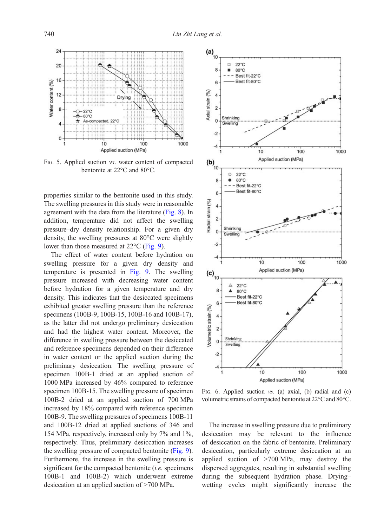<span id="page-7-0"></span>

FIG. 5. Applied suction vs. water content of compacted bentonite at 22°C and 80°C.

properties similar to the bentonite used in this study. The swelling pressures in this study were in reasonable agreement with the data from the literature [\(Fig. 8](#page-8-0)). In addition, temperature did not affect the swelling pressure–dry density relationship. For a given dry density, the swelling pressures at 80°C were slightly lower than those measured at 22°C [\(Fig. 9\)](#page-9-0).

The effect of water content before hydration on swelling pressure for a given dry density and temperature is presented in [Fig. 9](#page-9-0). The swelling pressure increased with decreasing water content before hydration for a given temperature and dry density. This indicates that the desiccated specimens exhibited greater swelling pressure than the reference specimens (100B-9, 100B-15, 100B-16 and 100B-17), as the latter did not undergo preliminary desiccation and had the highest water content. Moreover, the difference in swelling pressure between the desiccated and reference specimens depended on their difference in water content or the applied suction during the preliminary desiccation. The swelling pressure of specimen 100B-1 dried at an applied suction of 1000 MPa increased by 46% compared to reference specimen 100B-15. The swelling pressure of specimen 100B-2 dried at an applied suction of 700 MPa increased by 18% compared with reference specimen 100B-9. The swelling pressures of specimens 100B-11 and 100B-12 dried at applied suctions of 346 and 154 MPa, respectively, increased only by 7% and 1%, respectively. Thus, preliminary desiccation increases the swelling pressure of compacted bentonite [\(Fig. 9](#page-9-0)). Furthermore, the increase in the swelling pressure is significant for the compacted bentonite (*i.e.* specimens 100B-1 and 100B-2) which underwent extreme desiccation at an applied suction of >700 MPa.



FIG. 6. Applied suction vs. (a) axial, (b) radial and (c) volumetric strains of compacted bentonite at 22°C and 80°C.

The increase in swelling pressure due to preliminary desiccation may be relevant to the influence of desiccation on the fabric of bentonite. Preliminary desiccation, particularly extreme desiccation at an applied suction of >700 MPa, may destroy the dispersed aggregates, resulting in substantial swelling during the subsequent hydration phase. Drying– wetting cycles might significantly increase the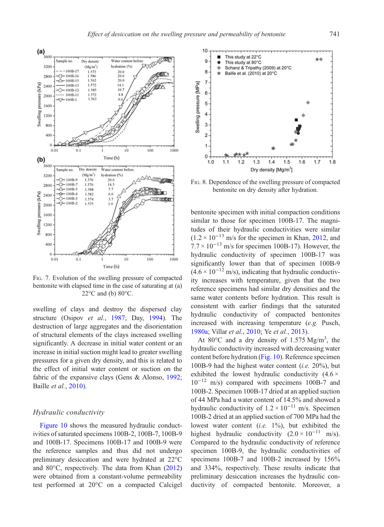<span id="page-8-0"></span>

FIG. 7. Evolution of the swelling pressure of compacted bentonite with elapsed time in the case of saturating at (a)  $22^{\circ}$ C and (b)  $80^{\circ}$ C.

swelling of clays and destroy the dispersed clay structure (Osipov et al., [1987;](#page-10-0) Day, [1994](#page-10-0)). The destruction of large aggregates and the disorientation of structural elements of the clays increased swelling significantly. A decrease in initial water content or an increase in initial suction might lead to greater swelling pressures for a given dry density, and this is related to the effect of initial water content or suction on the fabric of the expansive clays (Gens & Alonso, [1992;](#page-10-0) Baille et al., [2010](#page-10-0)).

#### Hydraulic conductivity

[Figure 10](#page-9-0) shows the measured hydraulic conductivities of saturated specimens 100B-2, 100B-7, 100B-9 and 100B-17. Specimens 100B-17 and 100B-9 were the reference samples and thus did not undergo preliminary desiccation and were hydrated at 22°C and 80°C, respectively. The data from Khan [\(2012](#page-10-0)) were obtained from a constant-volume permeability test performed at 20°C on a compacted Calcigel



FIG. 8. Dependence of the swelling pressure of compacted bentonite on dry density after hydration.

bentonite specimen with initial compaction conditions similar to those for specimen 100B-17. The magnitudes of their hydraulic conductivities were similar  $(1.2 \times 10^{-13} \text{ m/s}$  for the specimen in Khan, [2012,](#page-10-0) and  $7.7 \times 10^{-13}$  m/s for specimen 100B-17). However, the hydraulic conductivity of specimen 100B-17 was significantly lower than that of specimen 100B-9  $(4.6 \times 10^{-12} \text{ m/s})$ , indicating that hydraulic conductivity increases with temperature, given that the two reference specimens had similar dry densities and the same water contents before hydration. This result is consistent with earlier findings that the saturated hydraulic conductivity of compacted bentonites increased with increasing temperature (e.g. Pusch, [1980a;](#page-10-0) Villar et al., [2010](#page-11-0); Ye et al., [2013](#page-11-0)).

At 80 $^{\circ}$ C and a dry density of 1.575 Mg/m<sup>3</sup>, the hydraulic conductivity increased with decreasing water content before hydration ([Fig. 10\)](#page-9-0). Reference specimen 100B-9 had the highest water content (*i.e.*  $20\%$ ), but exhibited the lowest hydraulic conductivity  $(4.6 \times$  $10^{-12}$  m/s) compared with specimens 100B-7 and 100B-2. Specimen 100B-17 dried at an applied suction of 44 MPa had a water content of 14.5% and showed a hydraulic conductivity of  $1.2 \times 10^{-11}$  m/s. Specimen 100B-2 dried at an applied suction of 700 MPa had the lowest water content  $(i.e. 1\%)$ , but exhibited the highest hydraulic conductivity  $(2.0 \times 10^{-11} \text{ m/s})$ . Compared to the hydraulic conductivity of reference specimen 100B-9, the hydraulic conductivities of specimens 100B-7 and 100B-2 increased by 156% and 334%, respectively. These results indicate that preliminary desiccation increases the hydraulic conductivity of compacted bentonite. Moreover, a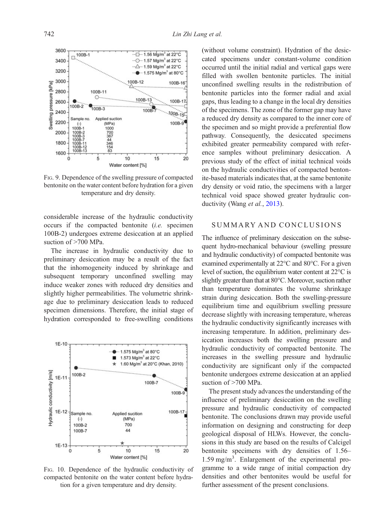$-$  1.56 Ma/m<sup>3</sup> at 22°C  $\cdot$  O  $\cdot$  1.57 Mg/m<sup>3</sup> at 22°C

 $-\triangle - 1.59$  Ma/m<sup>3</sup> at 22°C

 $15$ 

100B-12

100B-13

 $100R$ 

 $\bullet$   $-$  1.575 Mg/m<sup>3</sup> at 80°C

100B-16

100B-17

 $100B - 15$ 

100B-9

 $\dot{20}$ 

Water content [%] FIG. 9. Dependence of the swelling pressure of compacted bentonite on the water content before hydration for a given temperature and dry density.

 $10^{-1}$ 

considerable increase of the hydraulic conductivity occurs if the compacted bentonite (i.e. specimen 100B-2) undergoes extreme desiccation at an applied suction of >700 MPa.

The increase in hydraulic conductivity due to preliminary desiccation may be a result of the fact that the inhomogeneity induced by shrinkage and subsequent temporary unconfined swelling may induce weaker zones with reduced dry densities and slightly higher permeabilities. The volumetric shrinkage due to preliminary desiccation leads to reduced specimen dimensions. Therefore, the initial stage of hydration corresponded to free-swelling conditions



FIG. 10. Dependence of the hydraulic conductivity of compacted bentonite on the water content before hydration for a given temperature and dry density.

(without volume constraint). Hydration of the desiccated specimens under constant-volume condition occurred until the initial radial and vertical gaps were filled with swollen bentonite particles. The initial unconfined swelling results in the redistribution of bentonite particles into the former radial and axial gaps, thus leading to a change in the local dry densities of the specimens. The zone of the former gap may have a reduced dry density as compared to the inner core of the specimen and so might provide a preferential flow pathway. Consequently, the desiccated specimens exhibited greater permeability compared with reference samples without preliminary desiccation. A previous study of the effect of initial technical voids on the hydraulic conductivities of compacted bentonite-based materials indicates that, at the same bentonite dry density or void ratio, the specimens with a larger technical void space showed greater hydraulic con-ductivity (Wang et al., [2013\)](#page-11-0).

## SUMMARY AND CONCLUSIONS

The influence of preliminary desiccation on the subsequent hydro-mechanical behaviour (swelling pressure and hydraulic conductivity) of compacted bentonite was examined experimentally at 22°C and 80°C. For a given level of suction, the equilibrium water content at 22°C is slightly greater than that at 80°C. Moreover, suction rather than temperature dominates the volume shrinkage strain during desiccation. Both the swelling-pressure equilibrium time and equilibrium swelling pressure decrease slightly with increasing temperature, whereas the hydraulic conductivity significantly increases with increasing temperature. In addition, preliminary desiccation increases both the swelling pressure and hydraulic conductivity of compacted bentonite. The increases in the swelling pressure and hydraulic conductivity are significant only if the compacted bentonite undergoes extreme desiccation at an applied suction of >700 MPa.

The present study advances the understanding of the influence of preliminary desiccation on the swelling pressure and hydraulic conductivity of compacted bentonite. The conclusions drawn may provide useful information on designing and constructing for deep geological disposal of HLWs. However, the conclusions in this study are based on the results of Calcigel bentonite specimens with dry densities of 1.56– 1.59 mg/m<sup>3</sup> . Enlargement of the experimental programme to a wide range of initial compaction dry densities and other bentonites would be useful for further assessment of the present conclusions.

<span id="page-9-0"></span>3600

3400

3200

3000

2800

2600

2400

2200

2000

1800 1600  $\overline{c}$ 

pressure [kPa]

Swelling

 $100B-1$ 

100B-2

Sample no

 $\left( -\right)$  $100B -$ 

100B-2

 $100B$ 

100B-11  $\cap$ 

 $^{9}$ <sub>100B-3</sub>

 $\overline{5}$ 

Applied suction

 $(MPa)$ 

1000

700<br>367<br>44<br>346<br>154<br>83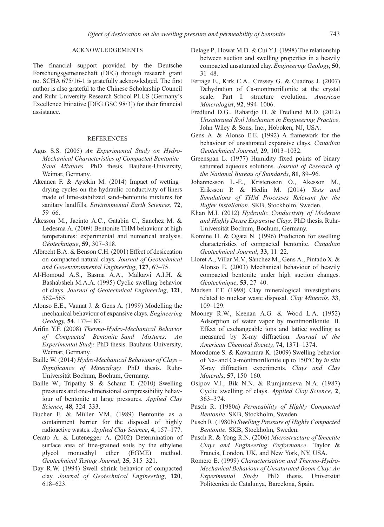#### ACKNOWLEDGEMENTS

<span id="page-10-0"></span>The financial support provided by the Deutsche Forschungsgemeinschaft (DFG) through research grant no. SCHA 675/16-1 is gratefully acknowledged. The first author is also grateful to the Chinese Scholarship Council and Ruhr University Research School PLUS (Germany's Excellence Initiative [DFG GSC 98/3]) for their financial assistance.

#### REFERENCES

- Agus S.S. (2005) An Experimental Study on Hydro-Mechanical Characteristics of Compacted Bentonite– Sand Mixtures. PhD thesis. Bauhaus-University, Weimar, Germany.
- Akcanca F. & Aytekin M. (2014) Impact of wetting– drying cycles on the hydraulic conductivity of liners made of lime-stabilized sand–bentonite mixtures for sanitary landfills. Environmental Earth Sciences, 72, 59–66.
- Åkesson M., Jacinto A.C., Gatabin C., Sanchez M. & Ledesma A. (2009) Bentonite THM behaviour at high temperatures: experimental and numerical analysis. Géotechnique, 59, 307–318.
- Albrecht B.A. & Benson C.H. (2001) Effect of desiccation on compacted natural clays. Journal of Geotechnical and Geoenvironmental Engineering, 127, 67–75.
- Al-Homoud A.S., Basma A.A., Malkawi A.I.H. & Bashabsheh M.A.A. (1995) Cyclic swelling behavior of clays. Journal of Geotechnical Engineering, 121, 562–565.
- Alonso E.E., Vaunat J. & Gens A. (1999) Modelling the mechanical behaviour of expansive clays. Engineering Geology, 54, 173–183.
- Arifin Y.F. (2008) Thermo-Hydro-Mechanical Behavior of Compacted Bentonite–Sand Mixtures: An Experimental Study. PhD thesis. Bauhaus-University, Weimar, Germany.
- Baille W. (2014) Hydro-Mechanical Behaviour of Clays Significance of Mineralogy. PhD thesis. Ruhr-Universität Bochum, Bochum, Germany.
- Baille W., Tripathy S. & Schanz T. (2010) Swelling pressures and one-dimensional compressibility behaviour of bentonite at large pressures. Applied Clay Science, 48, 324–333.
- Bucher F. & Müller V.M. (1989) Bentonite as a containment barrier for the disposal of highly radioactive wastes. Applied Clay Science, 4, 157–177.
- Cerato A. & Lutenegger A. (2002) Determination of surface area of fine-grained soils by the ethylene glycol monoethyl ether (EGME) method. Geotechnical Testing Journal, 25, 315–321.
- Day R.W. (1994) Swell–shrink behavior of compacted clay. Journal of Geotechnical Engineering, 120, 618–623.
- Delage P., Howat M.D. & Cui Y.J. (1998) The relationship between suction and swelling properties in a heavily compacted unsaturated clay. Engineering Geology, 50, 31–48.
- Ferrage E., Kirk C.A., Cressey G. & Cuadros J. (2007) Dehydration of Ca-montmorillonite at the crystal scale. Part I: structure evolution. American Mineralogist, 92, 994–1006.
- Fredlund D.G., Rahardjo H. & Fredlund M.D. (2012) Unsaturated Soil Mechanics in Engineering Practice. John Wiley & Sons, Inc., Hoboken, NJ, USA.
- Gens A. & Alonso E.E. (1992) A framework for the behaviour of unsaturated expansive clays. Canadian Geotechnical Journal, 29, 1013–1032.
- Greenspan L. (1977) Humidity fixed points of binary saturated aqueous solutions. Journal of Research of the National Bureau of Standards, 81, 89–96.
- Johannesson L.-E., Kristensson O., Akesson M., Eriksson P. & Hedin M. (2014) Tests and Simulations of THM Processes Relevant for the Buffer Installation. SKB, Stockholm, Sweden.
- Khan M.I. (2012) Hydraulic Conductivity of Moderate and Highly Dense Expansive Clays. PhD thesis. Ruhr-Universität Bochum, Bochum, Germany.
- Komine H. & Ogata N. (1996) Prediction for swelling characteristics of compacted bentonite. Canadian Geotechnical Journal, 33, 11–22.
- Lloret A., Villar M.V., Sánchez M., Gens A., Pintado X. & Alonso E. (2003) Mechanical behaviour of heavily compacted bentonite under high suction changes. Géotechnique, 53, 27–40.
- Madsen F.T. (1998) Clay mineralogical investigations related to nuclear waste disposal. Clay Minerals, 33, 109–129.
- Mooney R.W., Keenan A.G. & Wood L.A. (1952) Adsorption of water vapor by montmorillonite. II. Effect of exchangeable ions and lattice swelling as measured by X-ray diffraction. Journal of the American Chemical Society, 74, 1371–1374.
- Morodome S. & Kawamura K. (2009) Swelling behavior of Na- and Ca-montmorillonite up to 150°C by in situ X-ray diffraction experiments. Clays and Clay Minerals, 57, 150–160.
- Osipov V.I., Bik N.N. & Rumjantseva N.A. (1987) Cyclic swelling of clays. Applied Clay Science, 2, 363–374.
- Pusch R. (1980a) Permeability of Highly Compacted Bentonite. SKB, Stockholm, Sweden.
- Pusch R. (1980b) Swelling Pressure of Highly Compacted Bentonite. SKB, Stockholm, Sweden.
- Pusch R. & Yong R.N. (2006) Microstructure of Smectite Clays and Engineering Performance. Taylor & Francis, London, UK, and New York, NY, USA.
- Romero E. (1999) Characterisation and Thermo-Hydro-Mechanical Behaviour of Unsaturated Boom Clay: An Experimental Study. PhD thesis. Universitat Politècnica de Catalunya, Barcelona, Spain.